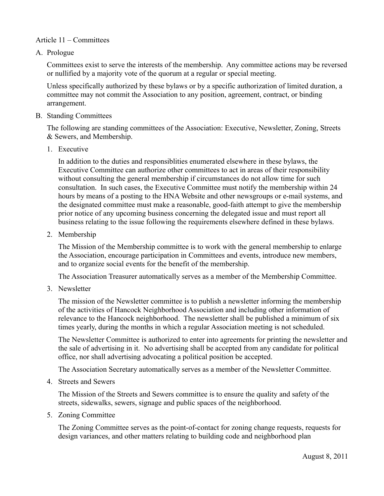## Article 11 – Committees

A. Prologue

Committees exist to serve the interests of the membership. Any committee actions may be reversed or nullified by a majority vote of the quorum at a regular or special meeting.

Unless specifically authorized by these bylaws or by a specific authorization of limited duration, a committee may not commit the Association to any position, agreement, contract, or binding arrangement.

B. Standing Committees

The following are standing committees of the Association: Executive, Newsletter, Zoning, Streets & Sewers, and Membership.

1. Executive

In addition to the duties and responsiblities enumerated elsewhere in these bylaws, the Executive Committee can authorize other committees to act in areas of their responsibility without consulting the general membership if circumstances do not allow time for such consultation. In such cases, the Executive Committee must notify the membership within 24 hours by means of a posting to the HNA Website and other newsgroups or e-mail systems, and the designated committee must make a reasonable, good-faith attempt to give the membership prior notice of any upcoming business concerning the delegated issue and must report all business relating to the issue following the requirements elsewhere defined in these bylaws.

2. Membership

The Mission of the Membership committee is to work with the general membership to enlarge the Association, encourage participation in Committees and events, introduce new members, and to organize social events for the benefit of the membership.

The Association Treasurer automatically serves as a member of the Membership Committee.

3. Newsletter

The mission of the Newsletter committee is to publish a newsletter informing the membership of the activities of Hancock Neighborhood Association and including other information of relevance to the Hancock neighborhood. The newsletter shall be published a minimum of six times yearly, during the months in which a regular Association meeting is not scheduled.

The Newsletter Committee is authorized to enter into agreements for printing the newsletter and the sale of advertising in it. No advertising shall be accepted from any candidate for political office, nor shall advertising advocating a political position be accepted.

The Association Secretary automatically serves as a member of the Newsletter Committee.

4. Streets and Sewers

The Mission of the Streets and Sewers committee is to ensure the quality and safety of the streets, sidewalks, sewers, signage and public spaces of the neighborhood.

5. Zoning Committee

The Zoning Committee serves as the point-of-contact for zoning change requests, requests for design variances, and other matters relating to building code and neighborhood plan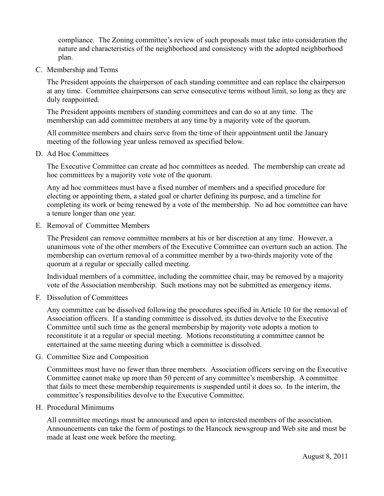compliance. The Zoning committee's review of such proposals must take into consideration the nature and characteristics of the neighborhood and consistency with the adopted neighborhood plan.

C. Membership and Terms

The President appoints the chairperson of each standing committee and can replace the chairperson at any time. Committee chairpersons can serve consecutive terms without limit, so long as they are duly reappointed.

The President appoints members of standing committees and can do so at any time. The membership can add committee members at any time by a majority vote of the quorum.

All committee members and chairs serve from the time of their appointment until the January meeting of the following year unless removed as specified below.

D. Ad Hoc Committees

The Executive Committee can create ad hoc committees as needed. The membership can create ad hoc committees by a majority vote vote of the quorum.

Any ad hoc committees must have a fixed number of members and a specified procedure for electing or appointing them, a stated goal or charter defining its purpose, and a timeline for completing its work or being renewed by a vote of the membership. No ad hoc committee can have a tenure longer than one year.

E. Removal of Committee Members

The President can remove committee members at his or her discretion at any time. However, a unanimous vote of the other members of the Executive Committee can overturn such an action. The membership can overturn removal of a committee member by a two-thirds majority vote of the quorum at a regular or specially called meeting.

Individual members of a committee, including the committee chair, may be removed by a majority vote of the Association membership. Such motions may not be submitted as emergency items.

F. Dissolution of Committees

Any committee can be dissolved following the procedures specified in Article 10 for the removal of Association officers. If a standing committee is dissolved, its duties devolve to the Executive Committee until such time as the general membership by majority vote adopts a motion to reconstitute it at a regular or special meeting. Motions reconstituting a committee cannot be entertained at the same meeting during which a committee is dissolved.

G. Committee Size and Composition

Committees must have no fewer than three members. Association officers serving on the Executive Committee cannot make up more than 50 percent of any committee's membership. A committee that fails to meet these membership requirements is suspended until it does so. In the interim, the committee's responsibilities devolve to the Executive Committee.

H. Procedural Minimums

All committee meetings must be announced and open to interested members of the association. Announcements can take the form of postings to the Hancock newsgroup and Web site and must be made at least one week before the meeting.